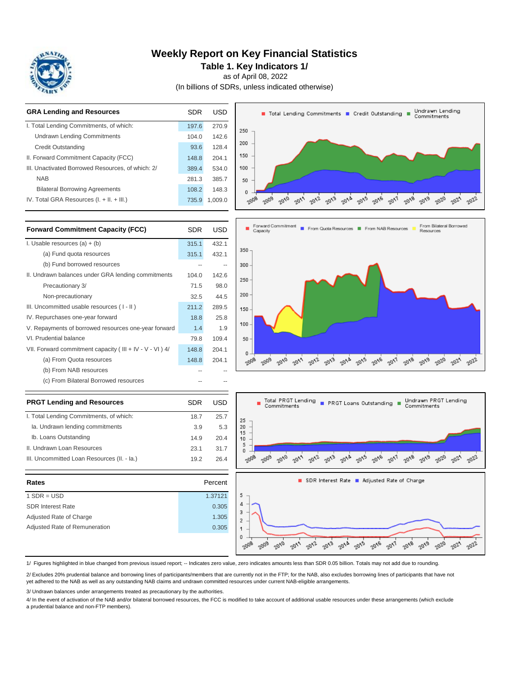

# **Weekly Report on Key Financial Statistics**

**Table 1. Key Indicators 1/**

as of April 08, 2022

(In billions of SDRs, unless indicated otherwise)

| <b>GRA Lending and Resources</b>                           | <b>SDR</b> | <b>USD</b> | Undrawn Lending<br>Total Lending Commitments T Credit Outstanding<br>Commitments                                                   |
|------------------------------------------------------------|------------|------------|------------------------------------------------------------------------------------------------------------------------------------|
| I. Total Lending Commitments, of which:                    | 197.6      | 270.9      | 250                                                                                                                                |
| <b>Undrawn Lending Commitments</b>                         | 104.0      | 142.6      |                                                                                                                                    |
| <b>Credit Outstanding</b>                                  | 93.6       | 128.4      | 200                                                                                                                                |
| II. Forward Commitment Capacity (FCC)                      | 148.8      | 204.1      | 150                                                                                                                                |
| III. Unactivated Borrowed Resources, of which: 2/          | 389.4      | 534.0      | 100                                                                                                                                |
| <b>NAB</b>                                                 | 281.3      | 385.7      | 50                                                                                                                                 |
| <b>Bilateral Borrowing Agreements</b>                      | 108.2      | 148.3      | 0                                                                                                                                  |
| IV. Total GRA Resources (I. + II. + III.)                  | 735.9      | 1,009.0    | 2009<br>2010<br>$20\sqrt{e}$<br>2018<br>$20^{15}$<br>2008<br>2017<br>2011<br>2019                                                  |
| <b>Forward Commitment Capacity (FCC)</b>                   | <b>SDR</b> | <b>USD</b> | Forward Commitment<br>From Bilateral Borrowed<br>From Quota Resources   From NAB Resources<br>Capacity<br>Resources                |
| I. Usable resources $(a) + (b)$                            | 315.1      | 432.1      |                                                                                                                                    |
| (a) Fund quota resources                                   | 315.1      | 432.1      | 350                                                                                                                                |
| (b) Fund borrowed resources                                | $\sim$     | $\sim$     | 300                                                                                                                                |
| II. Undrawn balances under GRA lending commitments         | 104.0      | 142.6      |                                                                                                                                    |
| Precautionary 3/                                           | 71.5       | 98.0       | 250                                                                                                                                |
| Non-precautionary                                          | 32.5       | 44.5       | 200                                                                                                                                |
| III. Uncommitted usable resources (I-II)                   | 211.2      | 289.5      | 150                                                                                                                                |
| IV. Repurchases one-year forward                           | 18.8       | 25.8       |                                                                                                                                    |
| V. Repayments of borrowed resources one-year forward       | 1.4        | 1.9        | 100                                                                                                                                |
| VI. Prudential balance                                     | 79.8       | 109.4      | 50                                                                                                                                 |
| VII. Forward commitment capacity (III + IV - V - VI ) $4/$ | 148.8      | 204.1      | 0                                                                                                                                  |
| (a) From Quota resources                                   | 148.8      | 204.1      | 2008<br>2009<br>$20\sqrt{Q}$<br>2011<br>$20^{12}$<br>$20^{13}$<br>2015<br>$20\sqrt{e}$<br>2018<br>$20^{19}$<br>20/9<br>2020<br>201 |
| (b) From NAB resources                                     |            |            |                                                                                                                                    |
| (c) From Bilateral Borrowed resources                      |            |            |                                                                                                                                    |
| <b>PRGT Lending and Resources</b>                          | <b>SDR</b> | <b>USD</b> | Undrawn PRGT Lending<br>Total PRGT Lending<br>Commitments<br>PRGT Loans Outstanding<br>Commitments                                 |
| I. Total Lending Commitments, of which:                    | 18.7       | 25.7       | 25                                                                                                                                 |
| la. Undrawn lending commitments                            | 3.9        | 5.3        | 20                                                                                                                                 |
| Ib. Loans Outstanding                                      | 14.9       | 20.4       | 15<br>10                                                                                                                           |
| II. Undrawn Loan Resources                                 | 23.1       | 31.7       | 5<br>0                                                                                                                             |
| III. Uncommitted Loan Resources (II. - Ia.)                | 19.2       | 26.4       | 2008<br>2010                                                                                                                       |
| Rates<br>Percent                                           |            |            | SDR Interest Rate Adjusted Rate of Charge                                                                                          |

| Rates                         | Percent |
|-------------------------------|---------|
| $1$ SDR = USD                 | 1.37121 |
| <b>SDR Interest Rate</b>      | 0.305   |
| Adjusted Rate of Charge       | 1.305   |
| Adjusted Rate of Remuneration | 0.305   |
|                               |         |



1/ Figures highlighted in blue changed from previous issued report; -- Indicates zero value, zero indicates amounts less than SDR 0.05 billion. Totals may not add due to rounding.

2/ Excludes 20% prudential balance and borrowing lines of participants/members that are currently not in the FTP; for the NAB, also excludes borrowing lines of participants that have not yet adhered to the NAB as well as any outstanding NAB claims and undrawn committed resources under current NAB-eligible arrangements.

3/ Undrawn balances under arrangements treated as precautionary by the authorities.

4/ In the event of activation of the NAB and/or bilateral borrowed resources, the FCC is modified to take account of additional usable resources under these arrangements (which exclude a prudential balance and non-FTP members).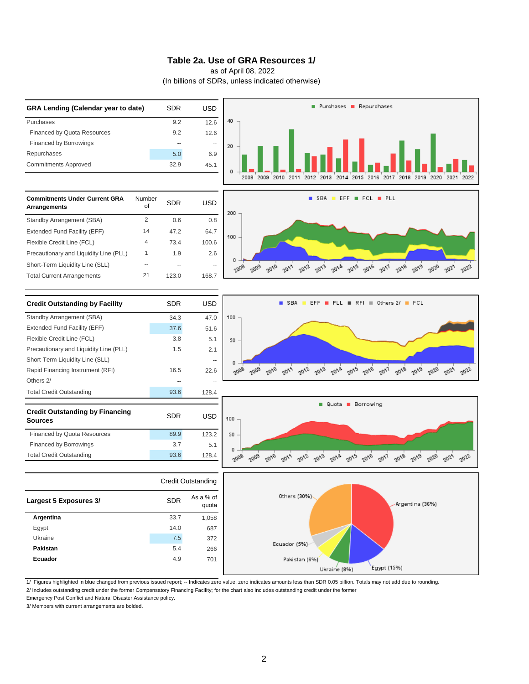#### **Table 2a. Use of GRA Resources 1/**

as of April 08, 2022

(In billions of SDRs, unless indicated otherwise)



1/ Figures highlighted in blue changed from previous issued report; -- Indicates zero value, zero indicates amounts less than SDR 0.05 billion. Totals may not add due to rounding.

Emergency Post Conflict and Natural Disaster Assistance policy.

3/ Members with current arrangements are bolded.

<sup>2/</sup> Includes outstanding credit under the former Compensatory Financing Facility; for the chart also includes outstanding credit under the former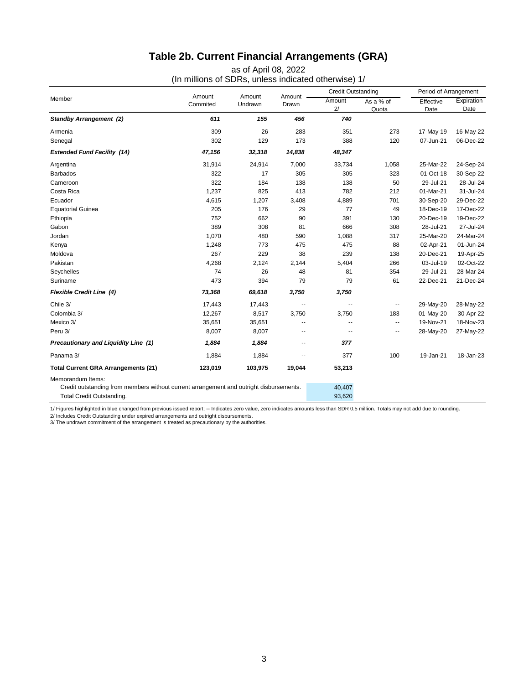# **Table 2b. Current Financial Arrangements (GRA)**

as of April 08, 2022 (In millions of SDRs, unless indicated otherwise) 1/

| Member                                                                                  |                    | Amount<br>Undrawn |                 | <b>Credit Outstanding</b> |                    | Period of Arrangement |                           |
|-----------------------------------------------------------------------------------------|--------------------|-------------------|-----------------|---------------------------|--------------------|-----------------------|---------------------------|
|                                                                                         | Amount<br>Commited |                   | Amount<br>Drawn | Amount<br>2/              | As a % of<br>Quota | Effective<br>Date     | Expiration<br><b>Date</b> |
| <b>Standby Arrangement (2)</b>                                                          | 611                | 155               | 456             | 740                       |                    |                       |                           |
| Armenia                                                                                 | 309                | 26                | 283             | 351                       | 273                | 17-May-19             | 16-May-22                 |
| Senegal                                                                                 | 302                | 129               | 173             | 388                       | 120                | 07-Jun-21             | 06-Dec-22                 |
| <b>Extended Fund Facility (14)</b>                                                      | 47,156             | 32,318            | 14,838          | 48,347                    |                    |                       |                           |
| Argentina                                                                               | 31,914             | 24,914            | 7,000           | 33,734                    | 1,058              | 25-Mar-22             | 24-Sep-24                 |
| <b>Barbados</b>                                                                         | 322                | 17                | 305             | 305                       | 323                | 01-Oct-18             | 30-Sep-22                 |
| Cameroon                                                                                | 322                | 184               | 138             | 138                       | 50                 | 29-Jul-21             | 28-Jul-24                 |
| Costa Rica                                                                              | 1,237              | 825               | 413             | 782                       | 212                | 01-Mar-21             | 31-Jul-24                 |
| Ecuador                                                                                 | 4,615              | 1,207             | 3,408           | 4,889                     | 701                | 30-Sep-20             | 29-Dec-22                 |
| <b>Equatorial Guinea</b>                                                                | 205                | 176               | 29              | 77                        | 49                 | 18-Dec-19             | 17-Dec-22                 |
| Ethiopia                                                                                | 752                | 662               | 90              | 391                       | 130                | 20-Dec-19             | 19-Dec-22                 |
| Gabon                                                                                   | 389                | 308               | 81              | 666                       | 308                | 28-Jul-21             | 27-Jul-24                 |
| Jordan                                                                                  | 1,070              | 480               | 590             | 1,088                     | 317                | 25-Mar-20             | 24-Mar-24                 |
| Kenya                                                                                   | 1,248              | 773               | 475             | 475                       | 88                 | 02-Apr-21             | 01-Jun-24                 |
| Moldova                                                                                 | 267                | 229               | 38              | 239                       | 138                | 20-Dec-21             | 19-Apr-25                 |
| Pakistan                                                                                | 4,268              | 2,124             | 2,144           | 5,404                     | 266                | 03-Jul-19             | 02-Oct-22                 |
| Seychelles                                                                              | 74                 | 26                | 48              | 81                        | 354                | 29-Jul-21             | 28-Mar-24                 |
| Suriname                                                                                | 473                | 394               | 79              | 79                        | 61                 | 22-Dec-21             | 21-Dec-24                 |
| Flexible Credit Line (4)                                                                | 73,368             | 69,618            | 3,750           | 3,750                     |                    |                       |                           |
| Chile 3/                                                                                | 17,443             | 17,443            | --              | --                        | --                 | 29-May-20             | 28-May-22                 |
| Colombia 3/                                                                             | 12,267             | 8,517             | 3,750           | 3,750                     | 183                | 01-May-20             | 30-Apr-22                 |
| Mexico 3/                                                                               | 35,651             | 35,651            | --              | --                        | --                 | 19-Nov-21             | 18-Nov-23                 |
| Peru 3/                                                                                 | 8,007              | 8,007             | --              | --                        | --                 | 28-May-20             | 27-May-22                 |
| Precautionary and Liquidity Line (1)                                                    | 1,884              | 1,884             | --              | 377                       |                    |                       |                           |
| Panama 3/                                                                               | 1,884              | 1,884             | --              | 377                       | 100                | 19-Jan-21             | 18-Jan-23                 |
| <b>Total Current GRA Arrangements (21)</b>                                              | 123,019            | 103,975           | 19,044          | 53,213                    |                    |                       |                           |
| Memorandum Items:                                                                       |                    |                   |                 |                           |                    |                       |                           |
| Credit outstanding from members without current arrangement and outright disbursements. |                    |                   |                 | 40,407                    |                    |                       |                           |
| Total Credit Outstanding.                                                               |                    |                   |                 | 93,620                    |                    |                       |                           |

1/ Figures highlighted in blue changed from previous issued report; -- Indicates zero value, zero indicates amounts less than SDR 0.5 million. Totals may not add due to rounding.

2/ Includes Credit Outstanding under expired arrangements and outright disbursements. 3/ The undrawn commitment of the arrangement is treated as precautionary by the authorities.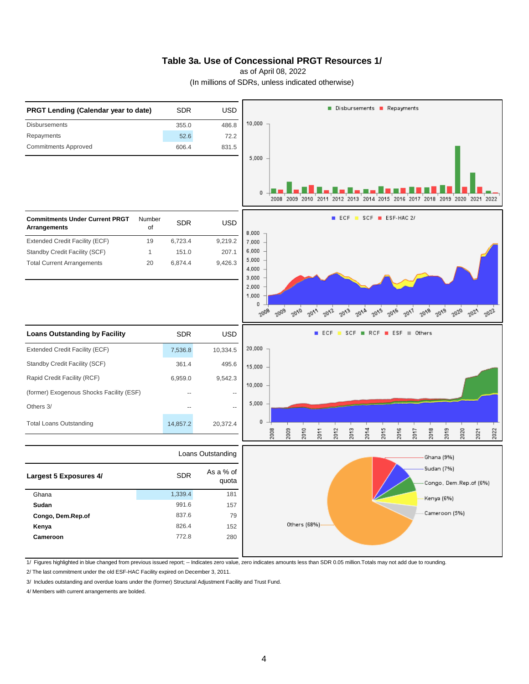### **Table 3a. Use of Concessional PRGT Resources 1/**

as of April 08, 2022

(In millions of SDRs, unless indicated otherwise)



1/ Figures highlighted in blue changed from previous issued report; -- Indicates zero value, zero indicates amounts less than SDR 0.05 million.Totals may not add due to rounding.

2/ The last commitment under the old ESF-HAC Facility expired on December 3, 2011.

3/ Includes outstanding and overdue loans under the (former) Structural Adjustment Facility and Trust Fund.

4/ Members with current arrangements are bolded.